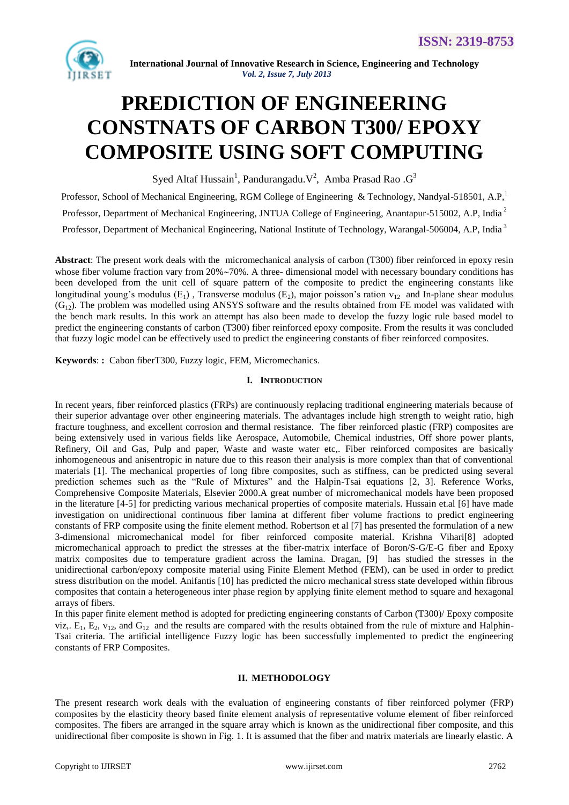

# **PREDICTION OF ENGINEERING CONSTNATS OF CARBON T300/ EPOXY COMPOSITE USING SOFT COMPUTING**

Syed Altaf Hussain<sup>1</sup>, Pandurangadu. V<sup>2</sup>, Amba Prasad Rao . G<sup>3</sup>

Professor, School of Mechanical Engineering, RGM College of Engineering & Technology, Nandyal-518501, A.P,<sup>1</sup> Professor, Department of Mechanical Engineering, JNTUA College of Engineering, Anantapur-515002, A.P, India <sup>2</sup> Professor, Department of Mechanical Engineering, National Institute of Technology, Warangal-506004, A.P, India <sup>3</sup>

**Abstract**: The present work deals with the micromechanical analysis of carbon (T300) fiber reinforced in epoxy resin whose fiber volume fraction vary from 20%~70%. A three- dimensional model with necessary boundary conditions has been developed from the unit cell of square pattern of the composite to predict the engineering constants like longitudinal young's modulus (E<sub>1</sub>), Transverse modulus (E<sub>2</sub>), major poisson's ration  $v_{12}$  and In-plane shear modulus  $(G_{12})$ . The problem was modelled using ANSYS software and the results obtained from FE model was validated with the bench mark results. In this work an attempt has also been made to develop the fuzzy logic rule based model to predict the engineering constants of carbon (T300) fiber reinforced epoxy composite. From the results it was concluded that fuzzy logic model can be effectively used to predict the engineering constants of fiber reinforced composites.

**Keywords**: **:** Cabon fiberT300, Fuzzy logic, FEM, Micromechanics.

### **I. INTRODUCTION**

In recent years, fiber reinforced plastics (FRPs) are continuously replacing traditional engineering materials because of their superior advantage over other engineering materials. The advantages include high strength to weight ratio, high fracture toughness, and excellent corrosion and thermal resistance. The fiber reinforced plastic (FRP) composites are being extensively used in various fields like Aerospace, Automobile, Chemical industries, Off shore power plants, Refinery, Oil and Gas, Pulp and paper, Waste and waste water etc,. Fiber reinforced composites are basically inhomogeneous and anisentropic in nature due to this reason their analysis is more complex than that of conventional materials [1]. The mechanical properties of long fibre composites, such as stiffness, can be predicted using several prediction schemes such as the "Rule of Mixtures" and the Halpin-Tsai equations [2, 3]. Reference Works, Comprehensive Composite Materials, Elsevier 2000.A great number of micromechanical models have been proposed in the literature [4-5] for predicting various mechanical properties of composite materials. Hussain et.al [6] have made investigation on unidirectional continuous fiber lamina at different fiber volume fractions to predict engineering constants of FRP composite using the finite element method. Robertson et al [7] has presented the formulation of a new 3-dimensional micromechanical model for fiber reinforced composite material. Krishna Vihari[8] adopted micromechanical approach to predict the stresses at the fiber-matrix interface of Boron/S-G/E-G fiber and Epoxy matrix composites due to temperature gradient across the lamina. Dragan, [9] has studied the stresses in the unidirectional carbon/epoxy composite material using Finite Element Method (FEM), can be used in order to predict stress distribution on the model. Anifantis [10] has predicted the micro mechanical stress state developed within fibrous composites that contain a heterogeneous inter phase region by applying finite element method to square and hexagonal arrays of fibers.

In this paper finite element method is adopted for predicting engineering constants of Carbon (T300)/ Epoxy composite viz.,  $E_1$ ,  $E_2$ ,  $v_{12}$ , and  $G_{12}$  and the results are compared with the results obtained from the rule of mixture and Halphin-Tsai criteria. The artificial intelligence Fuzzy logic has been successfully implemented to predict the engineering constants of FRP Composites.

#### **II. METHODOLOGY**

The present research work deals with the evaluation of engineering constants of fiber reinforced polymer (FRP) composites by the elasticity theory based finite element analysis of representative volume element of fiber reinforced composites. The fibers are arranged in the square array which is known as the unidirectional fiber composite, and this unidirectional fiber composite is shown in Fig. 1. It is assumed that the fiber and matrix materials are linearly elastic. A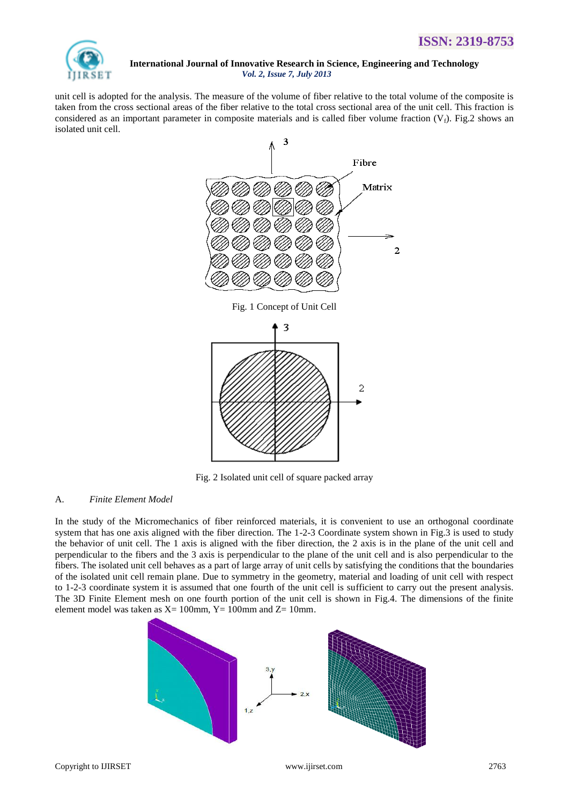

unit cell is adopted for the analysis. The measure of the volume of fiber relative to the total volume of the composite is taken from the cross sectional areas of the fiber relative to the total cross sectional area of the unit cell. This fraction is considered as an important parameter in composite materials and is called fiber volume fraction  $(V_f)$ . Fig.2 shows an isolated unit cell.





Fig. 2 Isolated unit cell of square packed array

#### A. *Finite Element Model*

In the study of the Micromechanics of fiber reinforced materials, it is convenient to use an orthogonal coordinate system that has one axis aligned with the fiber direction. The 1-2-3 Coordinate system shown in Fig.3 is used to study the behavior of unit cell. The 1 axis is aligned with the fiber direction, the 2 axis is in the plane of the unit cell and perpendicular to the fibers and the 3 axis is perpendicular to the plane of the unit cell and is also perpendicular to the fibers. The isolated unit cell behaves as a part of large array of unit cells by satisfying the conditions that the boundaries of the isolated unit cell remain plane. Due to symmetry in the geometry, material and loading of unit cell with respect to 1-2-3 coordinate system it is assumed that one fourth of the unit cell is sufficient to carry out the present analysis. The 3D Finite Element mesh on one fourth portion of the unit cell is shown in Fig.4. The dimensions of the finite element model was taken as  $X= 100$ mm,  $Y= 100$ mm and  $Z= 10$ mm.

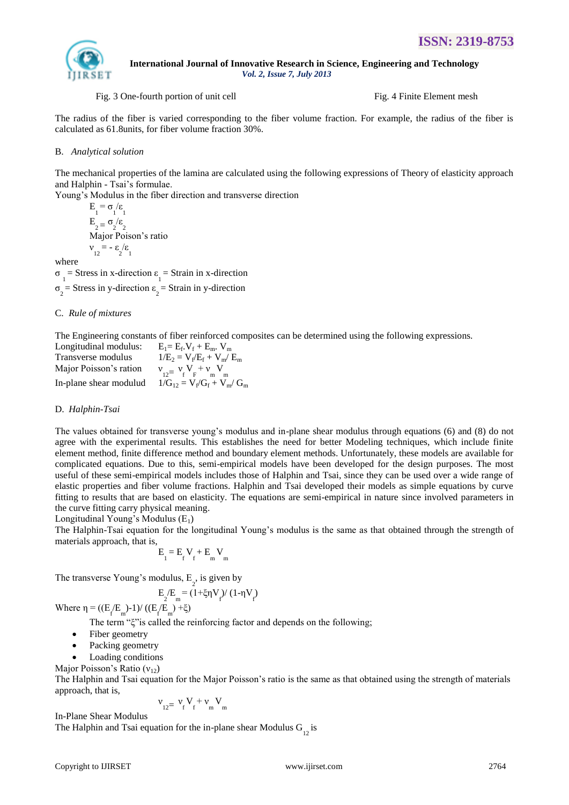

#### Fig. 3 One-fourth portion of unit cell Fig. 4 Finite Element mesh

The radius of the fiber is varied corresponding to the fiber volume fraction. For example, the radius of the fiber is calculated as 61.8units, for fiber volume fraction 30%.

#### B. *Analytical solution*

The mechanical properties of the lamina are calculated using the following expressions of Theory of elasticity approach and Halphin - Tsai's formulae.

Young's Modulus in the fiber direction and transverse direction

$$
E_1 = \sigma_1/\varepsilon_1
$$
  
\n
$$
E_2 = \sigma_2/\varepsilon_2
$$
  
\nMajor Poison's ratio  
\n
$$
v_{12} = -\varepsilon_2/\varepsilon_1
$$

where

 $\sigma_1$  = Stress in x-direction  $\varepsilon_1$  = Strain in x-direction  $\sigma_2$  = Stress in y-direction  $\varepsilon_2$  = Strain in y-direction

#### C. *Rule of mixtures*

The Engineering constants of fiber reinforced composites can be determined using the following expressions.

| Longitudinal modulus:  | $E_1 = E_f$ , $V_f + E_m$ , $V_m$    |
|------------------------|--------------------------------------|
| Transverse modulus     | $1/E_2 = V_f/E_f + V_m/E_m$          |
| Major Poisson's ration | $V_{12} = V_{f} V_{F} + V_{m} V_{m}$ |
| In-plane shear modulud | $1/G_{12} = V_f/G_f + V_m/G_m$       |

#### D. *Halphin-Tsai*

The values obtained for transverse young's modulus and in-plane shear modulus through equations (6) and (8) do not agree with the experimental results. This establishes the need for better Modeling techniques, which include finite element method, finite difference method and boundary element methods. Unfortunately, these models are available for complicated equations. Due to this, semi-empirical models have been developed for the design purposes. The most useful of these semi-empirical models includes those of Halphin and Tsai, since they can be used over a wide range of elastic properties and fiber volume fractions. Halphin and Tsai developed their models as simple equations by curve fitting to results that are based on elasticity. The equations are semi-empirical in nature since involved parameters in the curve fitting carry physical meaning.

Longitudinal Young's Modulus  $(E_1)$ 

The Halphin-Tsai equation for the longitudinal Young's modulus is the same as that obtained through the strength of materials approach, that is,

$$
\boldsymbol{E}_{1}^{} \!=\boldsymbol{E}_{f}^{} \boldsymbol{V}_{f}^{} \!+\! \boldsymbol{E}_{m}^{} \boldsymbol{V}_{m}^{}
$$

The transverse Young's modulus,  $E_2$ , is given by

$$
E_2/E_m = (1 + \xi \eta V_f) / (1 - \eta V_f)
$$

Where η = ((E<sub>f</sub>E<sub>m</sub>)-1)/ ((E<sub>f</sub>E<sub>m</sub>)+ξ)

The term "ξ"is called the reinforcing factor and depends on the following;

- Fiber geometry
- Packing geometry
- Loading conditions

Major Poisson's Ratio  $(v_{12})$ 

The Halphin and Tsai equation for the Major Poisson's ratio is the same as that obtained using the strength of materials approach, that is,

$$
\boldsymbol{\nu}_{_{12}=~\boldsymbol{\nu}_{_{f}}~\boldsymbol{V}_{_{f}}+\boldsymbol{\nu}_{_{m}}~\boldsymbol{V}_{_{m}}}
$$

In-Plane Shear Modulus The Halphin and Tsai equation for the in-plane shear Modulus  $G_{12}$  is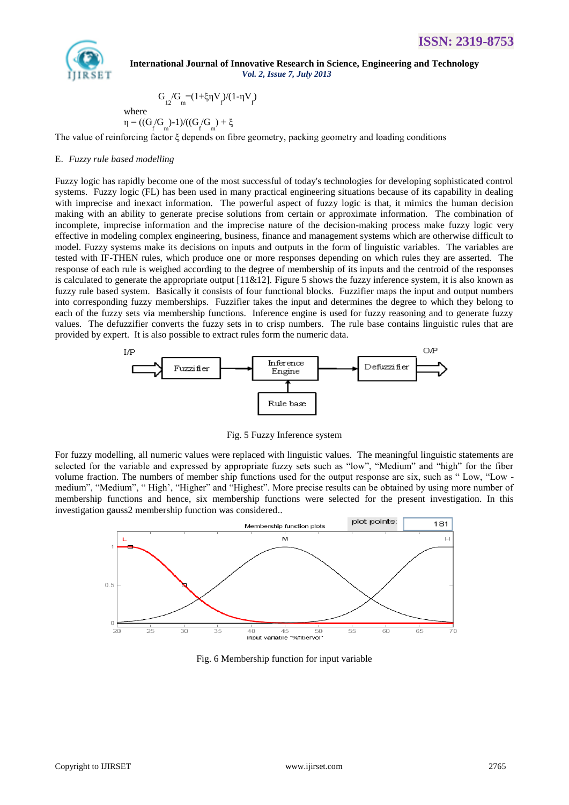

where

 $\eta$ 

$$
=((G/G_{_{f}}) - 1)/((G/G_{_{f}}) + \xi
$$

 $G_{12}/G_{m} = (1+\xi \eta V_{f})/(1-\eta V_{f})$ 

The value of reinforcing factor ξ depends on fibre geometry, packing geometry and loading conditions

#### E. *Fuzzy rule based modelling*

Fuzzy logic has rapidly become one of the most successful of today's technologies for developing sophisticated control systems. Fuzzy logic (FL) has been used in many practical engineering situations because of its capability in dealing with imprecise and inexact information. The powerful aspect of fuzzy logic is that, it mimics the human decision making with an ability to generate precise solutions from certain or approximate information. The combination of incomplete, imprecise information and the imprecise nature of the decision-making process make fuzzy logic very effective in modeling complex engineering, business, finance and management systems which are otherwise difficult to model. Fuzzy systems make its decisions on inputs and outputs in the form of linguistic variables. The variables are tested with IF-THEN rules, which produce one or more responses depending on which rules they are asserted. The response of each rule is weighed according to the degree of membership of its inputs and the centroid of the responses is calculated to generate the appropriate output [11&12]. Figure 5 shows the fuzzy inference system, it is also known as fuzzy rule based system. Basically it consists of four functional blocks. Fuzzifier maps the input and output numbers into corresponding fuzzy memberships. Fuzzifier takes the input and determines the degree to which they belong to each of the fuzzy sets via membership functions. Inference engine is used for fuzzy reasoning and to generate fuzzy values. The defuzzifier converts the fuzzy sets in to crisp numbers. The rule base contains linguistic rules that are provided by expert. It is also possible to extract rules form the numeric data.



Fig. 5 Fuzzy Inference system

For fuzzy modelling, all numeric values were replaced with linguistic values. The meaningful linguistic statements are selected for the variable and expressed by appropriate fuzzy sets such as "low", "Medium" and "high" for the fiber volume fraction. The numbers of member ship functions used for the output response are six, such as " Low, "Low medium", "Medium", " High', "Higher" and "Highest". More precise results can be obtained by using more number of membership functions and hence, six membership functions were selected for the present investigation. In this investigation gauss2 membership function was considered..



Fig. 6 Membership function for input variable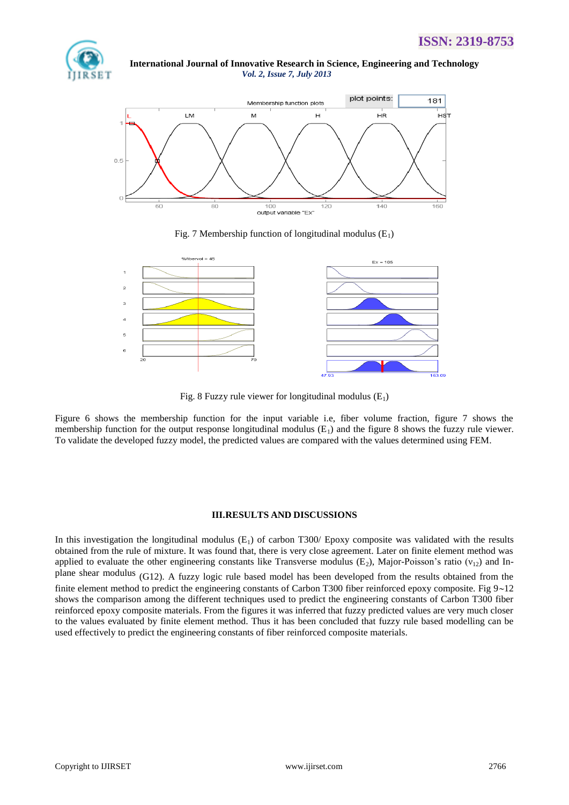



Fig. 7 Membership function of longitudinal modulus  $(E_1)$ 



Fig. 8 Fuzzy rule viewer for longitudinal modulus  $(E_1)$ 

Figure 6 shows the membership function for the input variable i.e, fiber volume fraction, figure 7 shows the membership function for the output response longitudinal modulus  $(E_1)$  and the figure 8 shows the fuzzy rule viewer. To validate the developed fuzzy model, the predicted values are compared with the values determined using FEM.

#### **III.RESULTS AND DISCUSSIONS**

In this investigation the longitudinal modulus  $(E_1)$  of carbon T300/ Epoxy composite was validated with the results obtained from the rule of mixture. It was found that, there is very close agreement. Later on finite element method was applied to evaluate the other engineering constants like Transverse modulus (E<sub>2</sub>), Major-Poisson's ratio ( $v_{12}$ ) and Inplane shear modulus (G12). A fuzzy logic rule based model has been developed from the results obtained from the finite element method to predict the engineering constants of Carbon T300 fiber reinforced epoxy composite. Fig  $9\nu 12$ shows the comparison among the different techniques used to predict the engineering constants of Carbon T300 fiber reinforced epoxy composite materials. From the figures it was inferred that fuzzy predicted values are very much closer to the values evaluated by finite element method. Thus it has been concluded that fuzzy rule based modelling can be used effectively to predict the engineering constants of fiber reinforced composite materials.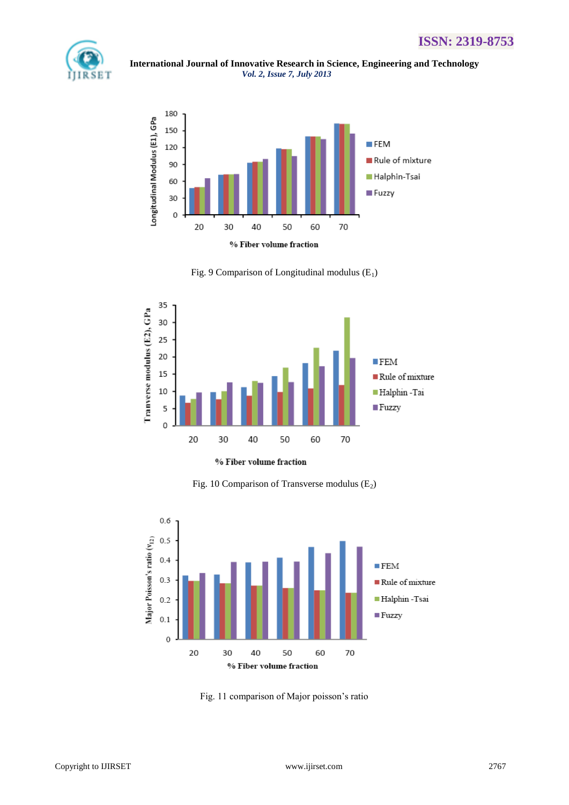

 **International Journal of Innovative Research in Science, Engineering and Technology** *Vol. 2, Issue 7, July 2013*



Fig. 9 Comparison of Longitudinal modulus  $(E_1)$ 



% Fiber volume fraction

Fig. 10 Comparison of Transverse modulus  $(E_2)$ 



Fig. 11 comparison of Major poisson's ratio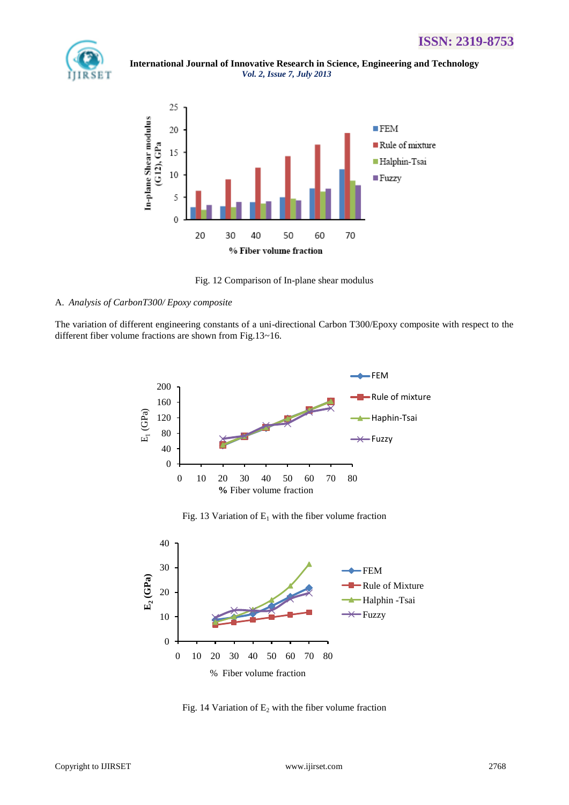## **ISSN: 2319-8753**



 **International Journal of Innovative Research in Science, Engineering and Technology** *Vol. 2, Issue 7, July 2013*



Fig. 12 Comparison of In-plane shear modulus

#### A. *Analysis of CarbonT300/ Epoxy composite*

The variation of different engineering constants of a uni-directional Carbon T300/Epoxy composite with respect to the different fiber volume fractions are shown from Fig.13~16.



Fig. 13 Variation of  $E_1$  with the fiber volume fraction



Fig. 14 Variation of  $E_2$  with the fiber volume fraction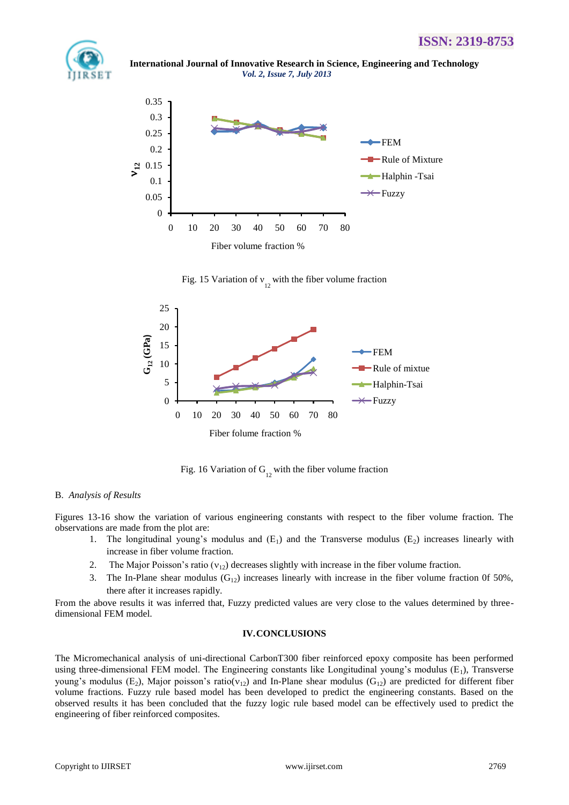

 **International Journal of Innovative Research in Science, Engineering and Technology** *Vol. 2, Issue 7, July 2013*



Fig. 15 Variation of  $v_1$  with the fiber volume fraction



Fig. 16 Variation of  $G_{12}$  with the fiber volume fraction

#### B. *Analysis of Results*

Figures 13-16 show the variation of various engineering constants with respect to the fiber volume fraction. The observations are made from the plot are:

- 1. The longitudinal young's modulus and  $(E_1)$  and the Transverse modulus  $(E_2)$  increases linearly with increase in fiber volume fraction.
- 2. The Major Poisson's ratio  $(v_{12})$  decreases slightly with increase in the fiber volume fraction.
- 3. The In-Plane shear modulus  $(G_{12})$  increases linearly with increase in the fiber volume fraction 0f 50%, there after it increases rapidly.

From the above results it was inferred that, Fuzzy predicted values are very close to the values determined by threedimensional FEM model.

#### **IV.CONCLUSIONS**

The Micromechanical analysis of uni-directional CarbonT300 fiber reinforced epoxy composite has been performed using three-dimensional FEM model. The Engineering constants like Longitudinal young's modulus  $(E_1)$ , Transverse young's modulus (E<sub>2</sub>), Major poisson's ratio( $v_{12}$ ) and In-Plane shear modulus (G<sub>12</sub>) are predicted for different fiber volume fractions. Fuzzy rule based model has been developed to predict the engineering constants. Based on the observed results it has been concluded that the fuzzy logic rule based model can be effectively used to predict the engineering of fiber reinforced composites.